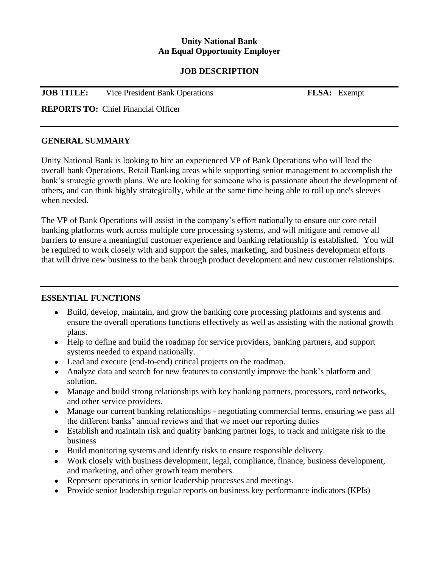### **Unity National Bank An Equal Opportunity Employer**

#### **JOB DESCRIPTION**

| <b>JOB TITLE:</b> | Vice President Bank Operations |  |
|-------------------|--------------------------------|--|
|-------------------|--------------------------------|--|

**FLSA:** Exempt

**REPORTS TO:** Chief Financial Officer

#### **GENERAL SUMMARY**

Unity National Bank is looking to hire an experienced VP of Bank Operations who will lead the overall bank Operations, Retail Banking areas while supporting senior management to accomplish the bank's strategic growth plans. We are looking for someone who is passionate about the development of others, and can think highly strategically, while at the same time being able to roll up one's sleeves when needed.

The VP of Bank Operations will assist in the company's effort nationally to ensure our core retail banking platforms work across multiple core processing systems, and will mitigate and remove all barriers to ensure a meaningful customer experience and banking relationship is established. You will be required to work closely with and support the sales, marketing, and business development efforts that will drive new business to the bank through product development and new customer relationships.

### **ESSENTIAL FUNCTIONS**

- Build, develop, maintain, and grow the banking core processing platforms and systems and ensure the overall operations functions effectively as well as assisting with the national growth plans.
- Help to define and build the roadmap for service providers, banking partners, and support systems needed to expand nationally.
- Lead and execute (end-to-end) critical projects on the roadmap.
- Analyze data and search for new features to constantly improve the bank's platform and solution.
- Manage and build strong relationships with key banking partners, processors, card networks, and other service providers.
- Manage our current banking relationships negotiating commercial terms, ensuring we pass all the different banks' annual reviews and that we meet our reporting duties
- Establish and maintain risk and quality banking partner logs, to track and mitigate risk to the business
- Build monitoring systems and identify risks to ensure responsible delivery.
- Work closely with business development, legal, compliance, finance, business development, and marketing, and other growth team members.
- Represent operations in senior leadership processes and meetings.
- Provide senior leadership regular reports on business key performance indicators (KPIs)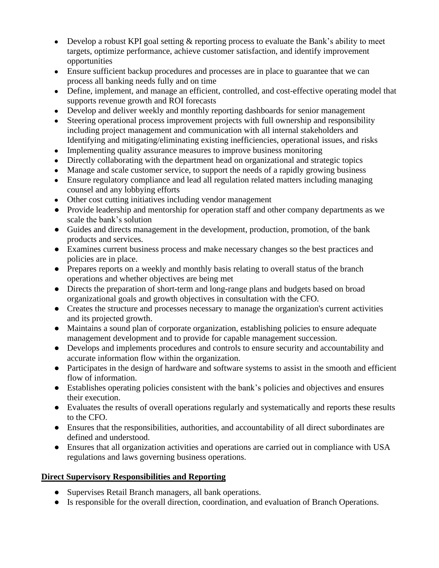- Develop a robust KPI goal setting  $\&$  reporting process to evaluate the Bank's ability to meet targets, optimize performance, achieve customer satisfaction, and identify improvement opportunities
- Ensure sufficient backup procedures and processes are in place to guarantee that we can process all banking needs fully and on time
- Define, implement, and manage an efficient, controlled, and cost-effective operating model that supports revenue growth and ROI forecasts
- Develop and deliver weekly and monthly reporting dashboards for senior management
- Steering operational process improvement projects with full ownership and responsibility including project management and communication with all internal stakeholders and Identifying and mitigating/eliminating existing inefficiencies, operational issues, and risks
- Implementing quality assurance measures to improve business monitoring
- Directly collaborating with the department head on organizational and strategic topics
- Manage and scale customer service, to support the needs of a rapidly growing business
- Ensure regulatory compliance and lead all regulation related matters including managing counsel and any lobbying efforts
- Other cost cutting initiatives including vendor management
- Provide leadership and mentorship for operation staff and other company departments as we scale the bank's solution
- Guides and directs management in the development, production, promotion, of the bank products and services.
- Examines current business process and make necessary changes so the best practices and policies are in place.
- Prepares reports on a weekly and monthly basis relating to overall status of the branch operations and whether objectives are being met
- Directs the preparation of short-term and long-range plans and budgets based on broad organizational goals and growth objectives in consultation with the CFO.
- Creates the structure and processes necessary to manage the organization's current activities and its projected growth.
- Maintains a sound plan of corporate organization, establishing policies to ensure adequate management development and to provide for capable management succession.
- Develops and implements procedures and controls to ensure security and accountability and accurate information flow within the organization.
- Participates in the design of hardware and software systems to assist in the smooth and efficient flow of information.
- Establishes operating policies consistent with the bank's policies and objectives and ensures their execution.
- Evaluates the results of overall operations regularly and systematically and reports these results to the CFO.
- Ensures that the responsibilities, authorities, and accountability of all direct subordinates are defined and understood.
- Ensures that all organization activities and operations are carried out in compliance with USA regulations and laws governing business operations.

# **Direct Supervisory Responsibilities and Reporting**

- Supervises Retail Branch managers, all bank operations.
- Is responsible for the overall direction, coordination, and evaluation of Branch Operations.